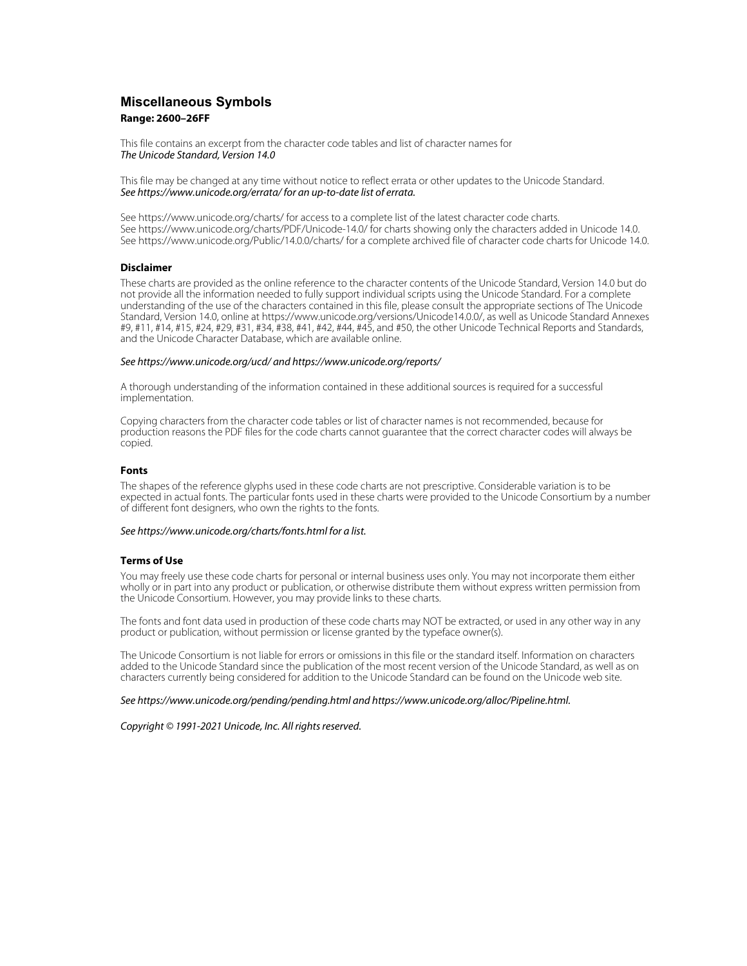## **Miscellaneous Symbols Range: 2600–26FF**

This file contains an excerpt from the character code tables and list of character names for The Unicode Standard, Version 14.0

This file may be changed at any time without notice to reflect errata or other updates to the Unicode Standard. See https://www.unicode.org/errata/ for an up-to-date list of errata.

See https://www.unicode.org/charts/ for access to a complete list of the latest character code charts. See https://www.unicode.org/charts/PDF/Unicode-14.0/ for charts showing only the characters added in Unicode 14.0. See https://www.unicode.org/Public/14.0.0/charts/ for a complete archived file of character code charts for Unicode 14.0.

### **Disclaimer**

These charts are provided as the online reference to the character contents of the Unicode Standard, Version 14.0 but do not provide all the information needed to fully support individual scripts using the Unicode Standard. For a complete understanding of the use of the characters contained in this file, please consult the appropriate sections of The Unicode Standard, Version 14.0, online at https://www.unicode.org/versions/Unicode14.0.0/, as well as Unicode Standard Annexes #9, #11, #14, #15, #24, #29, #31, #34, #38, #41, #42, #44, #45, and #50, the other Unicode Technical Reports and Standards, and the Unicode Character Database, which are available online.

#### See https://www.unicode.org/ucd/ and https://www.unicode.org/reports/

A thorough understanding of the information contained in these additional sources is required for a successful implementation.

Copying characters from the character code tables or list of character names is not recommended, because for production reasons the PDF files for the code charts cannot guarantee that the correct character codes will always be copied.

#### **Fonts**

The shapes of the reference glyphs used in these code charts are not prescriptive. Considerable variation is to be expected in actual fonts. The particular fonts used in these charts were provided to the Unicode Consortium by a number of different font designers, who own the rights to the fonts.

### See https://www.unicode.org/charts/fonts.html for a list.

#### **Terms of Use**

You may freely use these code charts for personal or internal business uses only. You may not incorporate them either wholly or in part into any product or publication, or otherwise distribute them without express written permission from the Unicode Consortium. However, you may provide links to these charts.

The fonts and font data used in production of these code charts may NOT be extracted, or used in any other way in any product or publication, without permission or license granted by the typeface owner(s).

The Unicode Consortium is not liable for errors or omissions in this file or the standard itself. Information on characters added to the Unicode Standard since the publication of the most recent version of the Unicode Standard, as well as on characters currently being considered for addition to the Unicode Standard can be found on the Unicode web site.

#### See https://www.unicode.org/pending/pending.html and https://www.unicode.org/alloc/Pipeline.html.

Copyright © 1991-2021 Unicode, Inc. All rights reserved.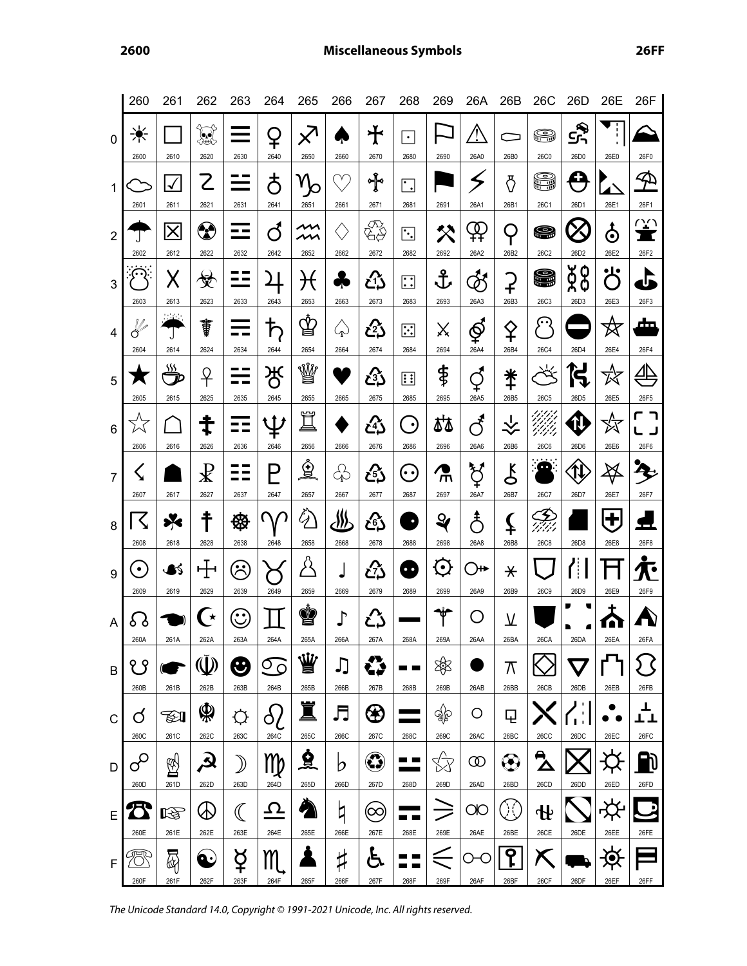|                  | 260                              | 261                             | 262                                                               | 263                         | 264                       | 265                              | 266                     | 267                 | 268                              | 269                                                                                                                                                                                                              | 26A                              | 26B                          | 26C                               | 26D                          | 26E                         | 26F                                  |
|------------------|----------------------------------|---------------------------------|-------------------------------------------------------------------|-----------------------------|---------------------------|----------------------------------|-------------------------|---------------------|----------------------------------|------------------------------------------------------------------------------------------------------------------------------------------------------------------------------------------------------------------|----------------------------------|------------------------------|-----------------------------------|------------------------------|-----------------------------|--------------------------------------|
| $\mathbf 0$      | ☀<br>2600                        | 2610                            | ₩<br>2620                                                         | 2630                        | ¥<br>2640                 | $\cancel{\times}$<br>2650        | 2660                    | $\bigstar$<br>2670  | $\bullet$<br>2680                | 2690                                                                                                                                                                                                             | Ţ<br>26A0                        | 26B0                         | ⊜<br><b>26C0</b>                  | ى<br>جى<br>26D0              | ţ.<br>26E0                  | 26F0                                 |
| $\mathbf 1$      | 2601                             | $\blacklozenge$<br>2611         | $\mathcal{L}% _{M_{1},M_{2}}^{\alpha,\beta}(\varepsilon)$<br>2621 | 2631                        | <u>ර්</u><br>2641         | 2651                             | Υ<br>2661               | ∱°<br>2671          | $\cdot$<br>2681                  | 2691                                                                                                                                                                                                             | 26A1                             | ্ট<br>26B1                   | S<br>26C1                         | Œ<br>26D1                    | 26E1                        | F<br>26F1                            |
| $\overline{2}$   | 2602                             | $\overline{\mathsf{x}}$<br>2612 | ✿<br>2622                                                         | --<br>2632                  | ර්<br>2642                | ~<br>2652                        | 2662                    | «∰<br>2672          | $\ddot{\cdot}$ .<br>2682         | 父<br>2692                                                                                                                                                                                                        | ₽<br>26A2                        | $\cup$<br>26B2               | 8<br>26C2                         | 26D2                         | $\bf \dot{\Phi}$<br>26E2    | $\overline{\mathbb{C}}$<br>П<br>26F2 |
| 3                | <u>( ၇ )</u><br>2603             | Х<br>2613                       | 受<br>2623                                                         | - -<br>2633                 | 2643                      | ナ€<br>2653                       | 2663                    | <u>رم</u><br>2673   | $\vdots$<br>2683                 | 子<br>2693                                                                                                                                                                                                        | $\breve{\mathcal{Z}}$<br>26A3    | ှာ<br>26B3                   | 9<br><b>26C3</b>                  | ğ8<br>26D3                   | •ا<br>$\mathcal{L}$<br>26E3 | U<br>26F3                            |
| $\overline{4}$   | $\sqrt{\frac{2}{\pi}}$<br>2604   | 11 Mei<br>J<br>2614             | ŧ<br>2624                                                         | 2634                        | ħ<br>2644                 | ₫<br>2654                        | $\zeta_{\rm D}$<br>2664 | ඍ<br>2674           | $\overline{::}$<br>2684          | Χ<br>2694                                                                                                                                                                                                        | ∲<br>26A4                        | ♀<br>26B4                    | $\widehat{\cdots}$<br><b>26C4</b> | 26D4                         | 这<br>26E4                   | đт<br>26F4                           |
| 5                | 2605                             | <u>sss</u><br>2615              | ♀<br>2625                                                         | 2635                        | ර්<br>2645                | W<br>2655                        | 2665                    | යි<br>2675          | <u>::</u><br>2685                | \$<br>2695                                                                                                                                                                                                       | 26A5                             | $\ddagger$<br>26B5           | ↸<br><b>26C5</b>                  | ίŚ<br>26D <sub>5</sub>       | 26E5                        | <u>⊿բ</u><br>26F5                    |
| 6                | 2606                             | 2616                            | ⇟<br>2626                                                         | 2636                        | $\mathfrak{\Psi}$<br>2646 | Ï<br>2656                        | 2666                    | ረ}ን<br>2676         | $(\cdot)$<br>2686                | st<br>2696                                                                                                                                                                                                       | $\mathcal{F}$<br>26A6            | $\overline{\hat{X}}$<br>26B6 | UM.<br>Vili<br><b>26C6</b>        | <b>N</b><br>26D6             | ∽<br>26E6                   | 26F6                                 |
| $\overline{7}$   | $\bm{\zeta}$<br>2607             | 2617                            | $\mathbf{\mathcal{R}}$<br>2627                                    | 2637                        | Р<br>2647                 | $\hat{\mathbf{Q}}$<br>2657       | ♧<br>2667               | යි<br>2677          | $(\cdot\cdot)$<br>2687           | Ť<br>2697                                                                                                                                                                                                        | ゚゙゙゙゙゙゙゙゙<br>26A7                | $\zeta$<br>26B7              | ு<br>26C7                         | $\hat{\mathfrak{Y}}$<br>26D7 | Ϫ<br>26E7                   | $\mathbf{z}$<br>26F7                 |
| 8                | $\zeta$<br>2608                  | ⊁<br>2618                       | ₹<br>2628                                                         | ⊛<br>2638                   | U<br>2648                 | $\tilde{Q}$<br>2658              | <u>88</u><br>2668       | යි<br>2678          | D<br>2688                        | $\mathbf{Q}$<br>2698                                                                                                                                                                                             | $\mathring{\mathcal{L}}$<br>26A8 | ≨<br>26B8                    | 3<br>97)<br><b>26C8</b>           | 26D8                         | $\mathbf{t}$<br>26E8        | 4<br>26F8                            |
| $\boldsymbol{9}$ | $\left[ \bullet \right]$<br>2609 | BŚ<br>2619                      | $\pm$<br>2629                                                     | $\hat{\mathcal{C}}$<br>2639 | 2649                      | $\stackrel{\circ}{\sim}$<br>2659 | 2669                    | ඨ<br>2679           | $\bullet$ $\bullet$<br>2689      | $\mathbf{\Theta}$<br>2699                                                                                                                                                                                        | 26A9                             | $\star$<br>26B9              | <b>26C9</b>                       | ਿੰ<br>26D9                   | 26E9                        | 26F9                                 |
| A                | 8 ያ<br>260A                      | 261A                            | ( $\star$<br>262A                                                 | $\mathbf{\hat{C}}$<br>263A  | 264A                      | Ý<br>265A                        | $\int$<br>266A          | ふ<br>267A           | 268A                             | ₩<br>269A                                                                                                                                                                                                        | 26AA                             | <u>V</u><br>26BA             | 26CA                              | 26DA                         | 26EA                        | 26FA                                 |
| B                | የ የ<br>260B                      | 261B                            | (U)<br>262B                                                       | ❸<br>263B                   | $\sigma$<br>264B          | 业<br>265B                        | JJ<br>266B              | ۞<br>267B           | 268B                             | 郊<br>269B                                                                                                                                                                                                        | 26AB                             | $\pi$<br>26BB                | 26CB                              | 26DB                         | 26EB                        | 26FB                                 |
| $\mathsf{C}$     | ර<br>260C                        | FI<br>261C                      | ф<br>262C                                                         | <b>¢</b><br>263C            | $\delta$<br>264C          | 265C                             | 月<br>266C               | 267C                | 268C                             | $\bigcirc \hspace{-3.5mm}\bigcirc \hspace{-3.5mm} \bigcirc \hspace{-3.5mm} \bigcirc \hspace{-3.5mm} \bigcirc \hspace{-3.5mm} \bigcirc \hspace{-3.5mm} \bigcirc \hspace{-3.5mm} \bigcirc \hspace{-3.5mm}$<br>269C | Ő<br>26AC                        | Q<br>26BC                    | 26CC                              | $\blacksquare$<br>26DC       | 26EC                        | ┸<br>┸┸<br>26FC                      |
| D                | $\sigma$<br>260D                 | ♔<br>261D                       | لۍ<br>262D                                                        | 》<br>263D                   | Np<br>264D                | <u>ରୁ</u><br>265D                | b<br>266D               | $\mathbf G$<br>267D | a ka<br>268D                     | 厺<br>269D                                                                                                                                                                                                        | യ<br>26AD                        | $\bigoplus$<br>26BD          | А,<br>Δ<br>26CD                   | 26DD                         | 26ED                        | <b>J</b><br>26FD                     |
| E                | 260E                             | rð.<br>261E                     | 262E                                                              | $\mathbb \mathbb ($<br>263E | <u>Ω</u><br>264E          | 265E                             | q<br>266E               | $[\infty]$<br>267E  | <b>Contract Contract</b><br>268E | 269E                                                                                                                                                                                                             | OЮ<br>26AE                       | 00<br>26BE                   | ∯<br>26CE                         | 26DE                         | 26EE                        | 26FE                                 |
| F                | UEL<br>260F                      | 勗<br>261F                       | $\mathbf{c}$<br>262F                                              | ₫<br>263F                   | M<br>264F                 | 265F                             | ♯<br>266F               | Á<br>267F           | 268F                             | 269F                                                                                                                                                                                                             | 26AF                             | ႑<br>26BF                    | 26CF                              | 26DF                         | 26EF                        | 26FF                                 |

The Unicode Standard 14.0, Copyright © 1991-2021 Unicode, Inc. All rights reserved.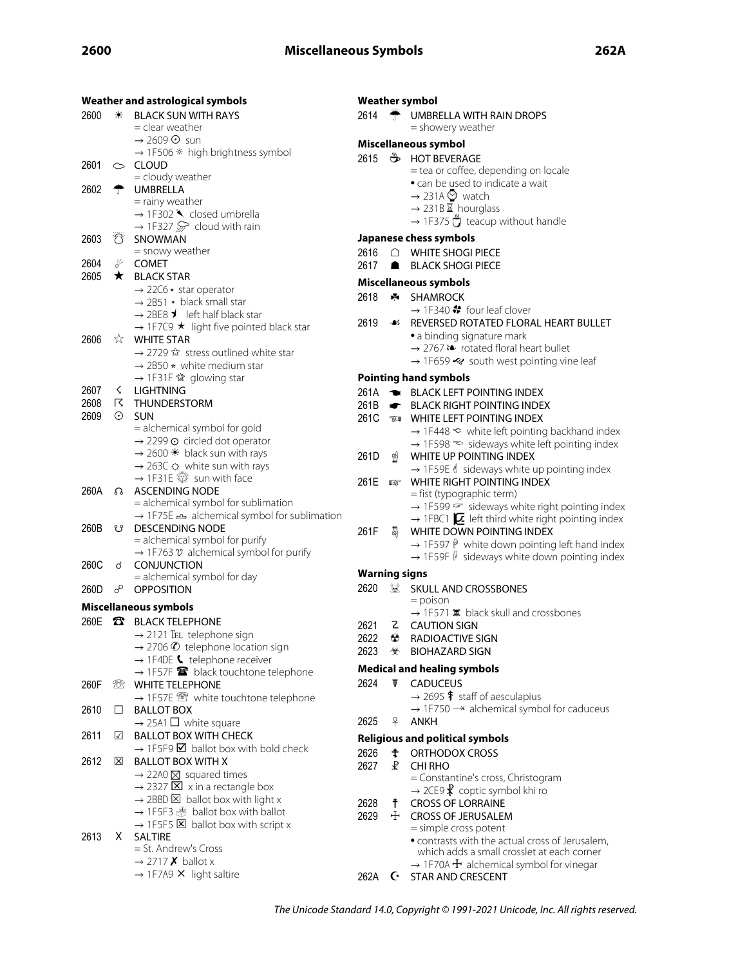|      |                         | Weather and astrological symbols                                                                             |                      |           | <b>Weather symbol</b>                                                                                                                             |
|------|-------------------------|--------------------------------------------------------------------------------------------------------------|----------------------|-----------|---------------------------------------------------------------------------------------------------------------------------------------------------|
| 2600 | ☀                       | <b>BLACK SUN WITH RAYS</b><br>= clear weather                                                                | 2614                 | ┯         | UMBRELLA WITH RAIN DROPS<br>= showery weather                                                                                                     |
|      |                         | $\rightarrow$ 2609 $\odot$ sun                                                                               |                      |           | Miscellaneous symbol                                                                                                                              |
|      |                         | $\rightarrow$ 1F506 * high brightness symbol                                                                 | 2615                 |           | <b>BEVERAGE</b>                                                                                                                                   |
| 2601 |                         | $\mathrel{\circlearrowright}$ CLOUD<br>= cloudy weather                                                      |                      |           | = tea or coffee, depending on locale                                                                                                              |
| 2602 |                         | <b>UMBRELLA</b>                                                                                              |                      |           | • can be used to indicate a wait                                                                                                                  |
|      |                         | = rainy weather                                                                                              |                      |           | $\rightarrow$ 231A $\odot$ watch<br>$\rightarrow$ 231B $\Sigma$ hourglass                                                                         |
|      |                         | $\rightarrow$ 1F302 $\blacktriangle$ closed umbrella                                                         |                      |           | $\rightarrow$ 1F375 $\ddot{\phantom{a}}$ teacup without handle                                                                                    |
| 2603 | $\mathcal{O}$           | $\rightarrow$ 1F327 $\gg$ cloud with rain<br>SNOWMAN                                                         |                      |           | Japanese chess symbols                                                                                                                            |
|      |                         | = snowy weather                                                                                              | 2616                 | ∩         | <b>WHITE SHOGI PIECE</b>                                                                                                                          |
| 2604 | ⊬                       | <b>COMET</b>                                                                                                 | 2617                 | ■         | <b>BLACK SHOGI PIECE</b>                                                                                                                          |
| 2605 | $\star$                 | <b>BLACK STAR</b>                                                                                            |                      |           | <b>Miscellaneous symbols</b>                                                                                                                      |
|      |                         | $\rightarrow$ 22C6 $\star$ star operator                                                                     | 2618                 |           | <b>*</b> SHAMROCK                                                                                                                                 |
|      |                         | $\rightarrow$ 2B51 $\star$ black small star<br>$\rightarrow$ 2BE8 $\blacktriangleright$ left half black star |                      |           | $\rightarrow$ 1F340 $\clubsuit$ four leaf clover                                                                                                  |
|      |                         | $\rightarrow$ 1F7C9 $\star$ light five pointed black star                                                    | 2619                 |           | <b>46 REVERSED ROTATED FLORAL HEART BULLET</b>                                                                                                    |
| 2606 | ☆                       | <b>WHITE STAR</b>                                                                                            |                      |           | • a binding signature mark                                                                                                                        |
|      |                         | $\rightarrow$ 2729 $\hat{x}$ stress outlined white star                                                      |                      |           | $\rightarrow$ 2767 $\rightarrow$ rotated floral heart bullet<br>$\rightarrow$ 1F659 $\ll$ south west pointing vine leaf                           |
|      |                         | $\rightarrow$ 2B50 $\star$ white medium star                                                                 |                      |           |                                                                                                                                                   |
| 2607 | ≤                       | → 1F31F ☆ glowing star<br><b>LIGHTNING</b>                                                                   |                      |           | <b>Pointing hand symbols</b>                                                                                                                      |
| 2608 |                         | <b>IS THUNDERSTORM</b>                                                                                       | 261A<br>261B         | $\bullet$ | BLACK LEFT POINTING INDEX<br><b>BLACK RIGHT POINTING INDEX</b>                                                                                    |
| 2609 | $\odot$                 | <b>SUN</b>                                                                                                   | 261C                 | TI        | WHITE LEFT POINTING INDEX                                                                                                                         |
|      |                         | = alchemical symbol for gold                                                                                 |                      |           | $\rightarrow$ 1F448 $\approx$ white left pointing backhand index                                                                                  |
|      |                         | $\rightarrow$ 2299 $\odot$ circled dot operator                                                              |                      |           | $\rightarrow$ 1F598 $\approx$ sideways white left pointing index                                                                                  |
|      |                         | $\rightarrow$ 2600 $*$ black sun with rays<br>$\rightarrow$ 263C $\odot$ white sun with rays                 | 261D                 | ☝         | WHITE UP POINTING INDEX                                                                                                                           |
|      |                         | → 1F31E isun with face                                                                                       | 261E                 | 啄         | $\rightarrow$ 1F59E $\ell$ sideways white up pointing index<br>WHITE RIGHT POINTING INDEX                                                         |
| 260A |                         | Ω ASCENDING NODE                                                                                             |                      |           | = fist (typographic term)                                                                                                                         |
|      |                         | = alchemical symbol for sublimation                                                                          |                      |           | → 1F599 <sup>→</sup> sideways white right pointing index                                                                                          |
| 260B | ೮                       | → 1F75E → alchemical symbol for sublimation<br><b>DESCENDING NODE</b>                                        |                      |           | $\rightarrow$ 1FBC1 $\sum$ left third white right pointing index                                                                                  |
|      |                         | = alchemical symbol for purify                                                                               | 261F                 | 厵         | WHITE DOWN POINTING INDEX                                                                                                                         |
|      |                         | $\rightarrow$ 1F763 $\mathcal V$ alchemical symbol for purify                                                |                      |           | $\rightarrow$ 1F597 $\mathsf{\hat{P}}$ white down pointing left hand index<br>$\rightarrow$ 1F59F $\hat{\psi}$ sideways white down pointing index |
| 260C | ර                       | <b>CONJUNCTION</b>                                                                                           | <b>Warning signs</b> |           |                                                                                                                                                   |
| 260D | $\sigma^{\!\mathsf{O}}$ | = alchemical symbol for day<br><b>OPPOSITION</b>                                                             | 2620                 | Q         | SKULL AND CROSSBONES                                                                                                                              |
|      |                         |                                                                                                              |                      |           | $=$ poison                                                                                                                                        |
|      |                         | Miscellaneous symbols                                                                                        |                      |           | $\rightarrow$ 1F571 $\overline{\mathbf{x}}$ black skull and crossbones                                                                            |
|      |                         | 260E T BLACK TELEPHONE<br>$\rightarrow$ 2121 TEL telephone sign                                              | 2621                 |           | Z CAUTION SIGN                                                                                                                                    |
|      |                         | $\rightarrow$ 2706 $\odot$ telephone location sign                                                           | 2622                 | ∞         | RADIOACTIVE SIGN                                                                                                                                  |
|      |                         | $\rightarrow$ 1F4DE $\bullet$ telephone receiver                                                             | 2623                 | ₩         | <b>BIOHAZARD SIGN</b>                                                                                                                             |
|      |                         | $\rightarrow$ 1F57F $\blacksquare$ black touchtone telephone                                                 |                      |           | <b>Medical and healing symbols</b>                                                                                                                |
| 260F | 959                     | <b>WHITE TELEPHONE</b>                                                                                       | 2624                 | ŧ         | <b>CADUCEUS</b><br>$\rightarrow$ 2695 $\frac{4}{3}$ staff of aesculapius                                                                          |
| 2610 | $\Box$                  | → 1F57E <sup>®</sup> white touchtone telephone<br><b>BALLOT BOX</b>                                          |                      |           | $\rightarrow$ 1F750 $\rightarrow$ alchemical symbol for caduceus                                                                                  |
|      |                         | $\rightarrow$ 25A1 $\Box$ white square                                                                       | 2625                 | ₽         | ANKH                                                                                                                                              |
| 2611 | ☑                       | <b>BALLOT BOX WITH CHECK</b>                                                                                 |                      |           | <b>Religious and political symbols</b>                                                                                                            |
|      |                         | $\rightarrow$ 1F5F9 $\blacksquare$ ballot box with bold check                                                | 2626                 | ŧ         | ORTHODOX CROSS                                                                                                                                    |
| 2612 | ⊠                       | <b>BALLOT BOX WITH X</b>                                                                                     | 2627                 | ₽         | <b>CHI RHO</b>                                                                                                                                    |
|      |                         | $\rightarrow$ 22A0 $\times$ squared times<br>$\rightarrow$ 2327 $\boxed{\times}$ x in a rectangle box        |                      |           | = Constantine's cross, Christogram                                                                                                                |
|      |                         | $\rightarrow$ 2BBD $\boxtimes$ ballot box with light x                                                       |                      |           | $\rightarrow$ 2CE9 $\mathbf{\hat{X}}$ coptic symbol khi ro                                                                                        |
|      |                         | $\rightarrow$ 1F5F3 $\overset{\circ}{\Rightarrow}$ ballot box with ballot                                    | 2628<br>2629         | ŧ<br>ਦ⊢   | <b>CROSS OF LORRAINE</b><br><b>CROSS OF JERUSALEM</b>                                                                                             |
|      |                         | $\rightarrow$ 1F5F5 $\times$ ballot box with script x                                                        |                      |           | = simple cross potent                                                                                                                             |
| 2613 | X.                      | <b>SALTIRE</b>                                                                                               |                      |           | · contrasts with the actual cross of Jerusalem,                                                                                                   |
|      |                         | = St. Andrew's Cross<br>$\rightarrow$ 2717 <b>X</b> ballot x                                                 |                      |           | which adds a small crosslet at each corner                                                                                                        |
|      |                         | $\rightarrow$ 1F7A9 X light saltire                                                                          | 262A                 |           | $\rightarrow$ 1F70A $\pm$ alchemical symbol for vinegar<br>G STAR AND CRESCENT                                                                    |
|      |                         |                                                                                                              |                      |           |                                                                                                                                                   |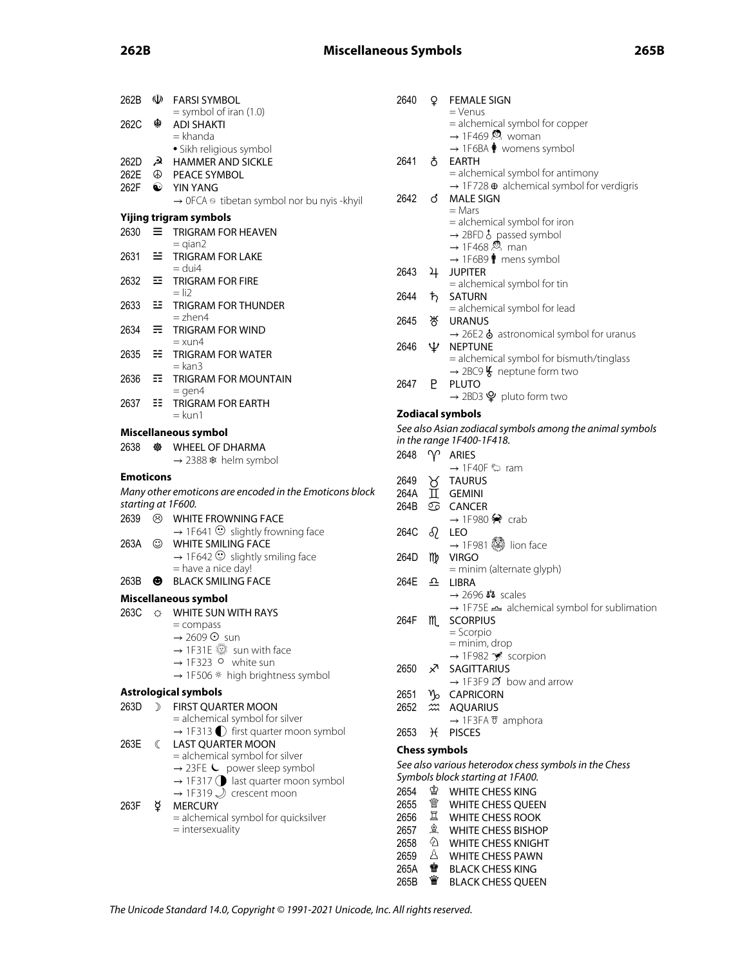# **262B Miscellaneous Symbols 265B**

| 262B                                      |              |                                                                           |
|-------------------------------------------|--------------|---------------------------------------------------------------------------|
|                                           |              | <b>W</b> FARSI SYMBOL                                                     |
| 262C                                      | ু            | $=$ symbol of iran (1.0)<br><b>ADI SHAKTI</b><br>= khanda                 |
|                                           |              | • Sikh religious symbol                                                   |
| 262D                                      | ھر           | <b>HAMMER AND SICKLE</b>                                                  |
|                                           |              | PEACE SYMBOL                                                              |
| 262E <b><sup>①</sup></b><br>262F <b>●</b> |              | <b>YIN YANG</b>                                                           |
|                                           |              | $\rightarrow$ OFCA $\circledcirc$ tibetan symbol nor bu nyis -khyil       |
|                                           |              | Yijing trigram symbols                                                    |
| 2630                                      |              | $\equiv$ TRIGRAM FOR HEAVEN<br>$=$ qian2                                  |
| 2631                                      | ≕            | <b>TRIGRAM FOR LAKE</b><br>= dui4                                         |
| 2632                                      | 죠.           | <b>TRIGRAM FOR FIRE</b><br>$=$ li2                                        |
| 2633                                      | 55. .        | <b>TRIGRAM FOR THUNDER</b><br>= zhen4                                     |
| 2634                                      | ≡.           | TRIGRAM FOR WIND<br>= xun4                                                |
| 2635                                      | æ.           | <b>TRIGRAM FOR WATER</b><br>$=$ kan $3$                                   |
| 2636                                      | 罪。           | <b>TRIGRAM FOR MOUNTAIN</b><br>$=$ gen4                                   |
| 2637                                      | 99.          | <b>TRIGRAM FOR EARTH</b><br>= kun1                                        |
|                                           |              | Miscellaneous symbol                                                      |
| 2638                                      | 橃            | <b>WHEEL OF DHARMA</b>                                                    |
|                                           |              |                                                                           |
|                                           |              | $\rightarrow$ 2388 $*$ helm symbol                                        |
| Emoticons                                 |              |                                                                           |
|                                           |              | Many other emoticons are encoded in the Emoticons block                   |
|                                           |              | starting at 1F600.                                                        |
| 2639                                      |              | <b>&amp; WHITE FROWNING FACE</b>                                          |
|                                           |              | $\rightarrow$ 1F641 $\odot$ slightly frowning face                        |
| 263A                                      | $\odot$      | <b>WHITE SMILING FACE</b>                                                 |
|                                           |              | $\rightarrow$ 1F642 $\odot$ slightly smiling face                         |
|                                           |              | = have a nice day!                                                        |
| 263B                                      | ❸            | <b>BLACK SMILING FACE</b>                                                 |
|                                           |              | Miscellaneous symbol                                                      |
| 263C                                      | $\circ$      | WHITE SUN WITH RAYS                                                       |
|                                           |              | $=$ compass                                                               |
|                                           |              | → 2609 ⊙ sun                                                              |
|                                           |              | → 1F31E ※ sun with face                                                   |
|                                           |              | $\rightarrow$ 1F323 $\circ$ white sun<br>→ 1F506 * high brightness symbol |
|                                           |              |                                                                           |
| 263D                                      | $\sum$       | <b>Astrological symbols</b>                                               |
|                                           |              | FIRST QUARTER MOON<br>= alchemical symbol for silver                      |
|                                           |              | $\rightarrow$ 1F313 $\bullet$ first quarter moon symbol                   |
| 263E                                      | $\mathbb{C}$ | <b>LAST QUARTER MOON</b>                                                  |
|                                           |              | = alchemical symbol for silver                                            |
|                                           |              | $\rightarrow$ 23FE $\leftarrow$ power sleep symbol                        |
|                                           |              | $\rightarrow$ 1F317 $\bigcirc$ last quarter moon symbol                   |
|                                           |              | $\rightarrow$ 1F319 $\bigcup$ crescent moon                               |
| 263F                                      | ¥.           | <b>MERCURY</b><br>= alchemical symbol for quicksilver                     |

|   | 2640                 | Q.            | <b>FEMALE SIGN</b>                                                                               |
|---|----------------------|---------------|--------------------------------------------------------------------------------------------------|
|   |                      |               | = Venus                                                                                          |
|   |                      |               | = alchemical symbol for copper                                                                   |
|   |                      |               | $\rightarrow$ 1F469 $\otimes$ woman                                                              |
|   |                      |               | $\rightarrow$ 1F6BA $\spadesuit$ womens symbol                                                   |
|   | 2641                 | Ō.            | EARTH                                                                                            |
|   |                      |               | = alchemical symbol for antimony<br>$\rightarrow$ 1F728 $\oplus$ alchemical symbol for verdigris |
|   | 2642                 | ්             | <b>MALE SIGN</b>                                                                                 |
|   |                      |               | = Mars                                                                                           |
|   |                      |               | = alchemical symbol for iron                                                                     |
|   |                      |               | $\rightarrow$ 2BFD $\delta$ passed symbol                                                        |
|   |                      |               | $\rightarrow$ 1F468 $\stackrel{\circledR}{\sim}$ man                                             |
|   |                      |               | $\rightarrow$ 1F6B9 $\hat{\parallel}$ mens symbol                                                |
|   | 2643                 | 4             | <b>JUPITER</b>                                                                                   |
|   |                      |               | = alchemical symbol for tin                                                                      |
|   | 2644                 | ħ             | SATURN                                                                                           |
|   | 2645                 |               | = alchemical symbol for lead                                                                     |
|   |                      | স্ত           | URANUS                                                                                           |
|   | 2646                 | Ψ             | $\rightarrow$ 26E2 $\dot{\bullet}$ astronomical symbol for uranus<br><b>NEPTUNE</b>              |
|   |                      |               | = alchemical symbol for bismuth/tinglass                                                         |
|   |                      |               | $\rightarrow$ 2BC9 $\frac{1}{2}$ neptune form two                                                |
|   | 2647                 | Р             | <b>PLUTO</b>                                                                                     |
|   |                      |               | $\rightarrow$ 2BD3 $\mathsf{\Psi}$ pluto form two                                                |
|   |                      |               | <b>Zodiacal symbols</b>                                                                          |
|   |                      |               | See also Asian zodiacal symbols among the animal symbols                                         |
|   |                      |               | in the range 1F400-1F418.                                                                        |
|   | 2648                 | $\gamma$      | ARIES                                                                                            |
|   |                      |               | $\rightarrow$ 1F40F $\heartsuit$ ram                                                             |
|   | 2649                 |               | <b>TAURUS</b>                                                                                    |
| k | 264A                 | Í             | Y Inc<br>TT GEMINI                                                                               |
|   | 264B                 |               | <b>S</b> CANCER                                                                                  |
|   |                      |               | $\rightarrow$ 1F980 $\clubsuit$ crab                                                             |
|   | 264C                 | R             | LEO                                                                                              |
|   |                      |               | $\rightarrow$ 1F981 $\circledS$ lion face                                                        |
|   | 264D                 | m             | virgo<br>= minim (alternate glyph)                                                               |
|   | 264E                 | 으             | LIBRA                                                                                            |
|   |                      |               | $\rightarrow$ 2696 $\overline{ab}$ scales                                                        |
|   |                      |               | → 1F75E → alchemical symbol for sublimation                                                      |
|   | 264F                 | M             | <b>SCORPIUS</b>                                                                                  |
|   |                      |               | $=$ Scorpio                                                                                      |
|   |                      |               | = minim, drop                                                                                    |
|   |                      |               | → 1F982 * scorpion                                                                               |
|   | 2650                 | ♐             | <b>SAGITTARIUS</b>                                                                               |
|   |                      |               | $\rightarrow$ 1F3F9 $\cancel{\triangle}$ bow and arrow                                           |
|   | 2651<br>2652         |               | Y <sub>o</sub> CAPRICORN                                                                         |
|   |                      |               | <b><i>m</i></b> AQUARIUS<br>$\rightarrow$ 1F3FA $\mathfrak{B}$ amphora                           |
|   | 2653                 | $\mathcal{H}$ | <b>PISCES</b>                                                                                    |
|   |                      |               |                                                                                                  |
|   | <b>Chess symbols</b> |               | See also various heterodox chess symbols in the Chess                                            |
|   |                      |               | Symbols block starting at 1FA00.                                                                 |
|   | 2654                 | ♔             | <b>WHITE CHESS KING</b>                                                                          |
|   | 2655                 | 飍             | <b>WHITE CHESS QUEEN</b>                                                                         |
|   | 2656                 | Ï             | <b>WHITE CHESS ROOK</b>                                                                          |
|   | 2657                 | €             | <b>WHITE CHESS BISHOP</b>                                                                        |
|   | 2658                 | 公             | <b>WHITE CHESS KNIGHT</b>                                                                        |
|   | 2659                 |               | Å WHITE CHESS PAWN                                                                               |
|   |                      |               |                                                                                                  |

265A ♚ BLACK CHESS KING 265B ♛ BLACK CHESS QUEEN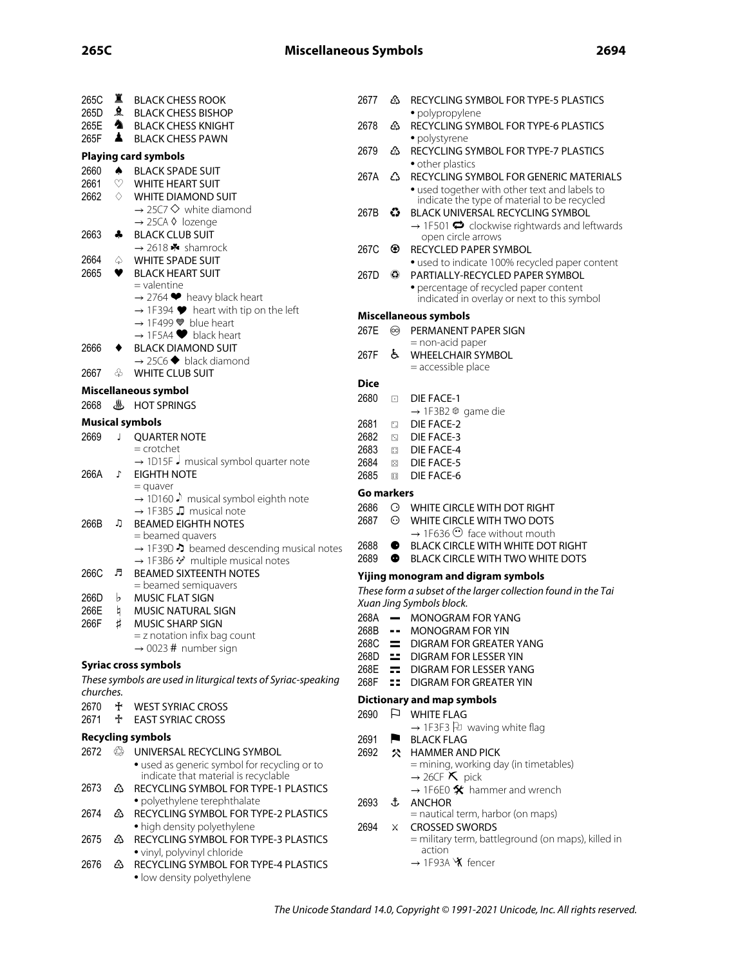| 265C      | 寘             | BLACK CHESS ROOK                                                                                                                   | 2677              | ජ                          | RECYCLING SYMBOL FOR TYPE-5 PLASTICS                                                          |
|-----------|---------------|------------------------------------------------------------------------------------------------------------------------------------|-------------------|----------------------------|-----------------------------------------------------------------------------------------------|
| 265D      |               | <b>A</b> BLACK CHESS BISHOP                                                                                                        |                   |                            | · polypropylene                                                                               |
| 265E      | ^             | <b>BLACK CHESS KNIGHT</b>                                                                                                          | 2678              | జ                          | RECYCLING SYMBOL FOR TYPE-6 PLASTICS                                                          |
| 265F      | ▲             | <b>BLACK CHESS PAWN</b>                                                                                                            |                   |                            | • polystyrene                                                                                 |
|           |               | <b>Playing card symbols</b>                                                                                                        | 2679              | జ                          | RECYCLING SYMBOL FOR TYPE-7 PLASTICS                                                          |
| 2660      | ۰             | <b>BLACK SPADE SUIT</b>                                                                                                            |                   |                            | • other plastics                                                                              |
| 2661      | v             | <b>WHITE HEART SUIT</b>                                                                                                            | 267A              | ∆                          | RECYCLING SYMBOL FOR GENERIC MATERIALS                                                        |
| 2662      | ♦             | <b>WHITE DIAMOND SUIT</b>                                                                                                          |                   |                            | • used together with other text and labels to<br>indicate the type of material to be recycled |
|           |               | $\rightarrow$ 25C7 $\Diamond$ white diamond                                                                                        | 267B              | €                          | BLACK UNIVERSAL RECYCLING SYMBOL                                                              |
|           |               | → 25CA ◊ lozenge                                                                                                                   |                   |                            | $\rightarrow$ 1F501 $\bullet$ clockwise rightwards and leftwards                              |
| 2663      | ♣             | <b>BLACK CLUB SUIT</b>                                                                                                             |                   |                            | open circle arrows                                                                            |
|           |               | $\rightarrow$ 2618 $\bullet\bullet$ shamrock                                                                                       | 267C              | ⊛                          | RECYCLED PAPER SYMBOL                                                                         |
| 2664      | ♤             | WHITE SPADE SUIT                                                                                                                   |                   |                            | · used to indicate 100% recycled paper content                                                |
| 2665      | ♥             | <b>BLACK HEART SUIT</b>                                                                                                            | 267D              | $\left( \bullet \right)$   | PARTIALLY-RECYCLED PAPER SYMBOL                                                               |
|           |               | = valentine                                                                                                                        |                   |                            | • percentage of recycled paper content                                                        |
|           |               | $\rightarrow$ 2764 $\blacktriangleright$ heavy black heart<br>$\rightarrow$ 1F394 $\blacktriangleright$ heart with tip on the left |                   |                            | indicated in overlay or next to this symbol                                                   |
|           |               | $\rightarrow$ 1F499 $\blacktriangleright$ blue heart                                                                               |                   |                            | Miscellaneous symbols                                                                         |
|           |               | $\rightarrow$ 1F5A4 $\blacktriangleright$ black heart                                                                              | 267E              | ∞                          | PERMANENT PAPER SIGN                                                                          |
| 2666      | ٠             | <b>BLACK DIAMOND SUIT</b>                                                                                                          |                   |                            | = non-acid paper                                                                              |
|           |               | $\rightarrow$ 25C6 $\blacklozenge$ black diamond                                                                                   | 267F              | ė.                         | <b>WHEELCHAIR SYMBOL</b>                                                                      |
| 2667      | ♧             | WHITE CLUB SUIT                                                                                                                    |                   |                            | = accessible place                                                                            |
|           |               | Miscellaneous symbol                                                                                                               | <b>Dice</b>       |                            |                                                                                               |
|           |               |                                                                                                                                    | 2680              | $\Box$                     | DIE FACE-1                                                                                    |
| 2668      |               | <b>U</b> HOT SPRINGS                                                                                                               |                   |                            | $\rightarrow$ 1F3B2 @ game die                                                                |
|           |               | <b>Musical symbols</b>                                                                                                             | 2681              | $\Box$                     | DIE FACE-2                                                                                    |
| 2669      | J.            | <b>QUARTER NOTE</b>                                                                                                                | 2682              | $\lceil \cdot \rceil$      | <b>DIE FACE-3</b>                                                                             |
|           |               | $=$ crotchet                                                                                                                       | 2683              | $\Box$                     | DIE FACE-4                                                                                    |
|           |               | → 1D15F J musical symbol quarter note                                                                                              | 2684              | $\left \mathcal{P}\right $ | <b>DIE FACE-5</b>                                                                             |
| 266A      | Г             | <b>EIGHTH NOTE</b>                                                                                                                 | 2685              | $\mathbb{R}$               | DIE FACE-6                                                                                    |
|           |               | $=$ quaver                                                                                                                         | <b>Go markers</b> |                            |                                                                                               |
|           |               | $\rightarrow$ 1D160 $\downarrow$ musical symbol eighth note<br>$\rightarrow$ 1F3B5 $\Box$ musical note                             | 2686              | ⊙                          | WHITE CIRCLE WITH DOT RIGHT                                                                   |
| 266B      | ŋ,            | <b>BEAMED EIGHTH NOTES</b>                                                                                                         | 2687              | ⊙                          | WHITE CIRCLE WITH TWO DOTS                                                                    |
|           |               | = beamed quavers                                                                                                                   |                   |                            | $\rightarrow$ 1F636 $\odot$ face without mouth                                                |
|           |               | $\rightarrow$ 1F39D $\rightarrow$ beamed descending musical notes                                                                  | 2688              |                            | BLACK CIRCLE WITH WHITE DOT RIGHT                                                             |
|           |               | → 1F3B6 * multiple musical notes                                                                                                   | 2689              | ●                          | <b>BLACK CIRCLE WITH TWO WHITE DOTS</b>                                                       |
|           |               | <b>BEAMED SIXTEENTH NOTES</b>                                                                                                      |                   |                            | Yijing monogram and digram symbols                                                            |
| 266C      | Л             |                                                                                                                                    |                   |                            |                                                                                               |
|           |               | = beamed semiquavers                                                                                                               |                   |                            |                                                                                               |
| 266D      | b             | <b>MUSIC FLAT SIGN</b>                                                                                                             |                   |                            | These form a subset of the larger collection found in the Tai                                 |
| 266E      | h             | <b>MUSIC NATURAL SIGN</b>                                                                                                          |                   |                            | Xuan Jing Symbols block.                                                                      |
| 266F      | Ħ             | <b>MUSIC SHARP SIGN</b>                                                                                                            | 268A              | $\overline{\phantom{m}}$   | MONOGRAM FOR YANG                                                                             |
|           |               | $=$ z notation infix bag count                                                                                                     | 268B              | $\sim$ $\sim$              | <b>MONOGRAM FOR YIN</b>                                                                       |
|           |               | $\rightarrow$ 0023 # number sign                                                                                                   | 268C              | $=$                        | DIGRAM FOR GREATER YANG                                                                       |
|           |               | <b>Syriac cross symbols</b>                                                                                                        | 268D              |                            | DIGRAM FOR LESSER YIN                                                                         |
|           |               | These symbols are used in liturgical texts of Syriac-speaking                                                                      | 268E              | =1<br>99 L                 | <b>DIGRAM FOR LESSER YANG</b>                                                                 |
| churches. |               |                                                                                                                                    | 268F              |                            | DIGRAM FOR GREATER YIN                                                                        |
| 2670      | $\ddot{\tau}$ | <b>WEST SYRIAC CROSS</b>                                                                                                           |                   |                            | <b>Dictionary and map symbols</b>                                                             |
| 2671      | ∱             | <b>EAST SYRIAC CROSS</b>                                                                                                           | 2690              |                            | $\Box$ WHITE FLAG                                                                             |
|           |               |                                                                                                                                    |                   |                            | $\rightarrow$ 1F3F3 F waving white flag                                                       |
|           |               | <b>Recycling symbols</b>                                                                                                           | 2691              | F                          | <b>BLACK FLAG</b>                                                                             |
| 2672      |               | <b>SSEMING UNIVERSAL RECYCLING SYMBOL</b>                                                                                          | 2692              | ╳                          | <b>HAMMER AND PICK</b>                                                                        |
|           |               | • used as generic symbol for recycling or to                                                                                       |                   |                            | = mining, working day (in timetables)                                                         |
| 2673      | 公             | indicate that material is recyclable<br>RECYCLING SYMBOL FOR TYPE-1 PLASTICS                                                       |                   |                            | $\rightarrow$ 26CF <b>K</b> pick                                                              |
|           |               |                                                                                                                                    |                   |                            | $\rightarrow$ 1F6E0 $\hat{\mathbf{X}}$ hammer and wrench                                      |
| 2674      | ćŠ            | · polyethylene terephthalate<br>RECYCLING SYMBOL FOR TYPE-2 PLASTICS                                                               | 2693              | J.                         | <b>ANCHOR</b><br>= nautical term, harbor (on maps)                                            |
|           |               | • high density polyethylene                                                                                                        | 2694              | X.                         | <b>CROSSED SWORDS</b>                                                                         |
| 2675      | త             | RECYCLING SYMBOL FOR TYPE-3 PLASTICS                                                                                               |                   |                            | = military term, battleground (on maps), killed in                                            |
|           |               | · vinyl, polyvinyl chloride                                                                                                        |                   |                            | action                                                                                        |
| 2676      | 岱             | RECYCLING SYMBOL FOR TYPE-4 PLASTICS<br>· low density polyethylene                                                                 |                   |                            | → 1F93A X fencer                                                                              |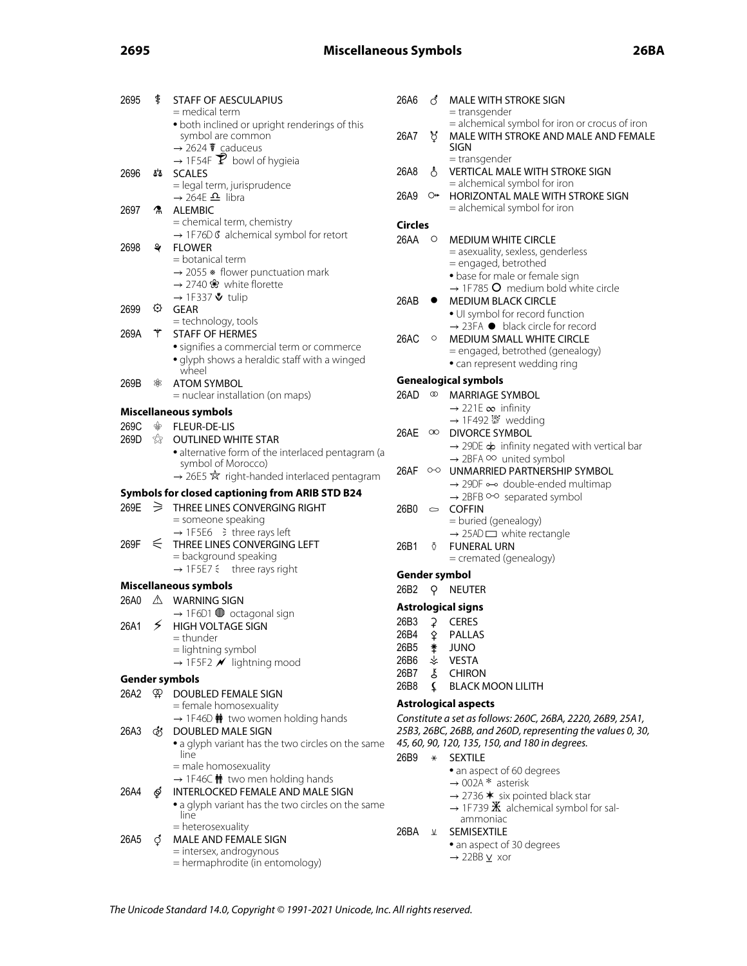# **2695 Miscellaneous Symbols 26BA**

| 2695 | ŧ  | <b>STAFF OF AESCULAPIUS</b><br>= medical term                                                                             | 26A6           | ්            | MALE WITH STROKE SIGN<br>= transgender                                                         |
|------|----|---------------------------------------------------------------------------------------------------------------------------|----------------|--------------|------------------------------------------------------------------------------------------------|
|      |    | • both inclined or upright renderings of this<br>symbol are common<br>$\rightarrow$ 2624 $\overline{\mathbf{t}}$ caduceus | 26A7           | ੋ            | = alchemical symbol for iron or crocus of iron<br>MALE WITH STROKE AND MALE AND FEMALE<br>SIGN |
| 2696 | ፚፚ | $\rightarrow$ 1F54F $\overline{Y}$ bowl of hygieia<br><b>SCALES</b>                                                       | 26A8           | ే            | = transgender<br><b>VERTICAL MALE WITH STROKE SIGN</b>                                         |
|      |    | = legal term, jurisprudence                                                                                               | 26A9           | O₩           | = alchemical symbol for iron<br>HORIZONTAL MALE WITH STROKE SIGN                               |
| 2697 |    | $\rightarrow$ 264E $\Omega$ libra<br><b>A</b> ALEMBIC                                                                     |                |              | = alchemical symbol for iron                                                                   |
|      |    | = chemical term, chemistry                                                                                                | <b>Circles</b> |              |                                                                                                |
|      |    | → 1F76D G alchemical symbol for retort                                                                                    | 26AA           | $\circ$      | <b>MEDIUM WHITE CIRCLE</b>                                                                     |
| 2698 | ₹  | <b>FLOWER</b>                                                                                                             |                |              | = asexuality, sexless, genderless                                                              |
|      |    | $=$ botanical term<br>$\rightarrow$ 2055 $*$ flower punctuation mark                                                      |                |              | = engaged, betrothed                                                                           |
|      |    | → 2740 $\cdot$ white florette                                                                                             |                |              | · base for male or female sign                                                                 |
|      |    | → 1F337 $\mathbf{\mathbf{\mathring{v}}}$ tulip                                                                            | 26AB           | $\bullet$    | $\rightarrow$ 1F785 O medium bold white circle<br><b>MEDIUM BLACK CIRCLE</b>                   |
| 2699 | ⊙  | <b>GEAR</b>                                                                                                               |                |              | • UI symbol for record function                                                                |
|      |    | = technology, tools                                                                                                       |                |              | $\rightarrow$ 23FA $\bullet$ black circle for record                                           |
| 269A | *  | <b>STAFF OF HERMES</b>                                                                                                    | 26AC           | $\circ$      | <b>MEDIUM SMALL WHITE CIRCLE</b>                                                               |
|      |    | • signifies a commercial term or commerce                                                                                 |                |              | = engaged, betrothed (genealogy)                                                               |
|      |    | • glyph shows a heraldic staff with a winged<br>wheel                                                                     |                |              | • can represent wedding ring                                                                   |
| 269B | 88 | <b>ATOM SYMBOL</b>                                                                                                        |                |              | <b>Genealogical symbols</b>                                                                    |
|      |    | $=$ nuclear installation (on maps)                                                                                        | 26AD           | $^\circledR$ | <b>MARRIAGE SYMBOL</b>                                                                         |
|      |    | Miscellaneous symbols                                                                                                     |                |              | $\rightarrow$ 221E $\infty$ infinity                                                           |
| 269C | ♧  | FLEUR-DE-LIS                                                                                                              | 26AE           | $\infty$     | → 1F492  vedding<br><b>DIVORCE SYMBOL</b>                                                      |
| 269D |    | <b><i>S</i></b> OUTLINED WHITE STAR                                                                                       |                |              | $\rightarrow$ 29DE $\phi$ infinity negated with vertical bar                                   |
|      |    | · alternative form of the interlaced pentagram (a                                                                         |                |              | $\rightarrow$ 2BFA $\circ\circ$ united symbol                                                  |
|      |    | symbol of Morocco)<br>$\rightarrow$ 26E5 $\overline{\mathcal{R}}$ right-handed interlaced pentagram                       |                |              | 26AF ○○ UNMARRIED PARTNERSHIP SYMBOL                                                           |
|      |    |                                                                                                                           |                |              | $\rightarrow$ 29DF $\rightarrow$ double-ended multimap                                         |
|      |    | Symbols for closed captioning from ARIB STD B24                                                                           |                |              | $\rightarrow$ 2BFB $\circ$ - $\circ$ separated symbol                                          |
| 269E |    | $\geq$ THREE LINES CONVERGING RIGHT<br>= someone speaking                                                                 | 26B0           |              | $\circ$ COFFIN                                                                                 |
|      |    | $\rightarrow$ 1F5E6 $\Rightarrow$ three rays left                                                                         |                |              | = buried (genealogy)<br>$\rightarrow$ 25AD $\Box$ white rectangle                              |
| 269F |    | $\leq$ THREE LINES CONVERGING LEFT                                                                                        | 26B1           | $\delta$     | <b>FUNERAL URN</b>                                                                             |
|      |    | = background speaking                                                                                                     |                |              | = cremated (genealogy)                                                                         |
|      |    | $\rightarrow$ 1F5E7 $\leq$ three rays right                                                                               |                |              | Gender symbol                                                                                  |
|      |    | <b>Miscellaneous symbols</b>                                                                                              | 26B2           | Q.           | <b>NEUTER</b>                                                                                  |
| 26A0 |    | $\triangle$ WARNING SIGN                                                                                                  |                |              | <b>Astrological signs</b>                                                                      |
|      |    | $\rightarrow$ 1F6D1 $\bullet$ octagonal sign                                                                              | 26B3           |              | 2 CERES                                                                                        |
| 26A1 | ≶  | <b>HIGH VOLTAGE SIGN</b>                                                                                                  |                |              | 26B4 & PALLAS                                                                                  |
|      |    | = thunder<br>= lightning symbol                                                                                           | 26B5           |              | <b>JUNO</b>                                                                                    |
|      |    | $\rightarrow$ 1F5F2 $\cancel{\prime}$ lightning mood                                                                      | 26B6           | ᆇ            | <b>VESTA</b>                                                                                   |
|      |    | <b>Gender symbols</b>                                                                                                     | 26B7           | Š            | <b>CHIRON</b>                                                                                  |
|      |    | 26A2 \P\; DOUBLED FEMALE SIGN                                                                                             | 26B8           | £            | <b>BLACK MOON LILITH</b>                                                                       |
|      |    | = female homosexuality                                                                                                    |                |              | <b>Astrological aspects</b>                                                                    |
|      |    | $\rightarrow$ 1F46D $\dot{\mathbf{m}}$ two women holding hands                                                            |                |              | Constitute a set as follows: 260C, 26BA, 2220, 26B9, 25A1,                                     |
| 26A3 |    | <b><i>S</i></b> DOUBLED MALE SIGN                                                                                         |                |              | 25B3, 26BC, 26BB, and 260D, representing the values 0, 30,                                     |
|      |    | • a glyph variant has the two circles on the same                                                                         |                |              | 45, 60, 90, 120, 135, 150, and 180 in degrees.                                                 |
|      |    | line<br>= male homosexuality                                                                                              | 26B9           | $\star$      | <b>SEXTILE</b>                                                                                 |
|      |    | $\rightarrow$ 1F46C $\dot{\mathbf{M}}$ two men holding hands                                                              |                |              | • an aspect of 60 degrees                                                                      |
| 26A4 | ේ  | INTERLOCKED FEMALE AND MALE SIGN                                                                                          |                |              | $\rightarrow$ 002A * asterisk<br>$\rightarrow$ 2736 $*$ six pointed black star                 |
|      |    | • a glyph variant has the two circles on the same                                                                         |                |              | $\rightarrow$ 1F739 $\mathbb{X}$ alchemical symbol for sal-                                    |
|      |    | line                                                                                                                      |                |              | ammoniac                                                                                       |
|      |    | = heterosexuality<br>MALE AND FEMALE SIGN                                                                                 | 26BA           | $\pi$        | SEMISEXTILE                                                                                    |
| 26A5 | O  | = intersex, androgynous                                                                                                   |                |              | • an aspect of 30 degrees                                                                      |
|      |    | = hermaphrodite (in entomology)                                                                                           |                |              | $\rightarrow$ 22BB $\underline{v}$ xor                                                         |
|      |    |                                                                                                                           |                |              |                                                                                                |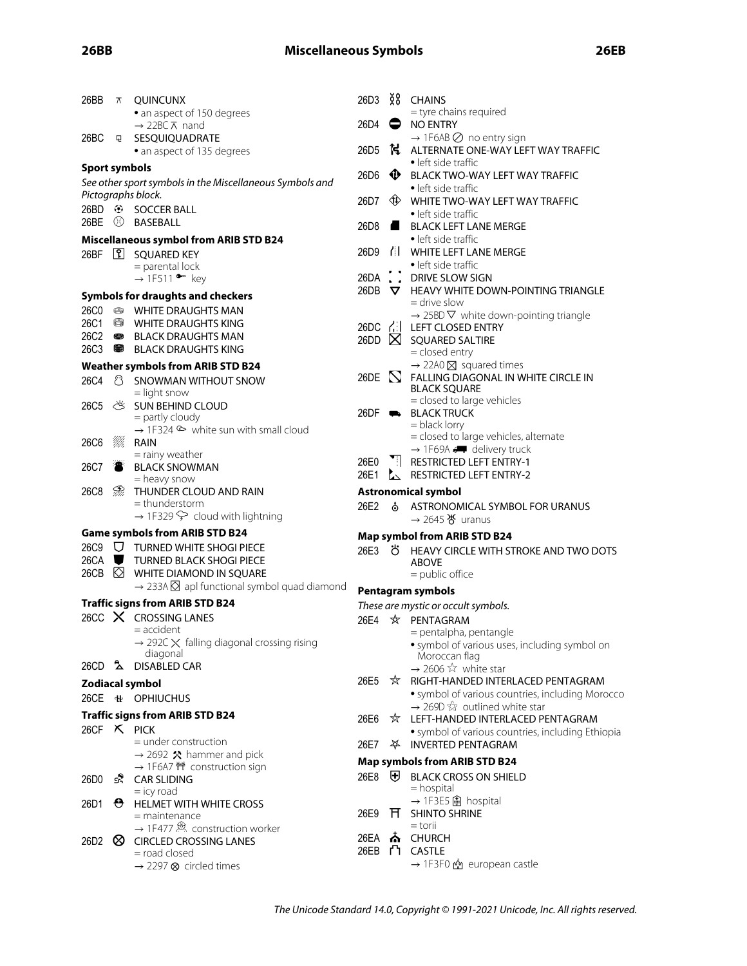| 26BB                 | $\pi$ | <b>QUINCUNX</b>                                                                     | 26D3             | ž8             | <b>CHAINS</b>                                                                                              |
|----------------------|-------|-------------------------------------------------------------------------------------|------------------|----------------|------------------------------------------------------------------------------------------------------------|
|                      |       | • an aspect of 150 degrees<br>$\rightarrow$ 22BC $\overline{\wedge}$ nand           | 26D4             | 0              | = tyre chains required<br><b>NO ENTRY</b>                                                                  |
| 26BC                 | Q     | SESQUIQUADRATE                                                                      |                  |                | $\rightarrow$ 1F6AB $\oslash$ no entry sign                                                                |
|                      |       | • an aspect of 135 degrees                                                          | 26D <sub>5</sub> | K.             | ALTERNATE ONE-WAY LEFT WAY TRAFFIC<br>• left side traffic                                                  |
| <b>Sport symbols</b> |       |                                                                                     | 26D6             | $\bf \Phi$     | <b>BLACK TWO-WAY LEFT WAY TRAFFIC</b>                                                                      |
|                      |       | See other sport symbols in the Miscellaneous Symbols and                            |                  |                | • left side traffic                                                                                        |
|                      |       | Pictographs block.                                                                  | 26D7             | ∜⊅             | WHITE TWO-WAY LEFT WAY TRAFFIC                                                                             |
|                      |       |                                                                                     |                  |                | • left side traffic                                                                                        |
| 26BE                 | ⚾     | BASEBALL                                                                            | 26D8             | $\blacksquare$ | <b>BLACK LEFT LANE MERGE</b>                                                                               |
|                      |       | <b>Miscellaneous symbol from ARIB STD B24</b>                                       |                  |                | • left side traffic                                                                                        |
| 26BF                 |       | <b>P</b> SQUARED KEY                                                                | 26D9             |                | <b>II</b> WHITE LEFT LANE MERGE<br>• left side traffic                                                     |
|                      |       | $=$ parental lock<br>$\rightarrow$ 1F511 • key                                      | 26DA             |                | DRIVE SLOW SIGN                                                                                            |
|                      |       |                                                                                     | 26DB             | $\bm{\nabla}$  | HEAVY WHITE DOWN-POINTING TRIANGLE                                                                         |
|                      |       | <b>Symbols for draughts and checkers</b><br>26C0 S WHITE DRAUGHTS MAN               |                  |                | = drive slow                                                                                               |
| 26C1                 | 63    | <b>WHITE DRAUGHTS KING</b>                                                          |                  |                | $\rightarrow$ 25BD $\nabla$ white down-pointing triangle                                                   |
| 26C2                 | 8     | BLACK DRAUGHTS MAN                                                                  | 26DC 김           | $\boxtimes$    | LEFT CLOSED ENTRY                                                                                          |
| 26C3                 |       | <b>BLACK DRAUGHTS KING</b>                                                          | 26DD             |                | <b>SQUARED SALTIRE</b><br>= closed entry                                                                   |
|                      |       | <b>Weather symbols from ARIB STD B24</b>                                            |                  |                | $\rightarrow$ 22A0 $\times$ squared times                                                                  |
| 26C4                 | ී     | SNOWMAN WITHOUT SNOW                                                                | 26DE             |                | $N$ FALLING DIAGONAL IN WHITE CIRCLE IN                                                                    |
|                      |       | $=$ light snow                                                                      |                  |                | <b>BLACK SQUARE</b>                                                                                        |
| 26C5                 | Ŏ     | SUN BEHIND CLOUD                                                                    | $26DF \bullet$   |                | = closed to large vehicles<br><b>BLACK TRUCK</b>                                                           |
|                      |       | $=$ partly cloudy                                                                   |                  |                | = black lorry                                                                                              |
| <b>26C6</b>          | W.    | $\rightarrow$ 1F324 $\otimes$ white sun with small cloud<br>RAIN                    |                  |                | = closed to large vehicles, alternate                                                                      |
|                      |       | $=$ rainy weather                                                                   |                  |                | $\rightarrow$ 1F69A $\rightarrow$ delivery truck                                                           |
| 26C7                 |       | <b>BLACK SNOWMAN</b>                                                                | 26E0             |                | <b>Til RESTRICTED LEFT ENTRY-1</b>                                                                         |
|                      |       | = heavy snow                                                                        | 26E1             |                | RESTRICTED LEFT ENTRY-2                                                                                    |
|                      |       |                                                                                     |                  |                |                                                                                                            |
| 26C8                 | D,    | THUNDER CLOUD AND RAIN                                                              |                  |                | <b>Astronomical symbol</b>                                                                                 |
|                      |       | = thunderstorm                                                                      | 26E2             | s              | ASTRONOMICAL SYMBOL FOR URANUS                                                                             |
|                      |       | $\rightarrow$ 1F329 $\curvearrowright$ cloud with lightning                         |                  |                | $\rightarrow$ 2645 $\frac{1}{6}$ uranus                                                                    |
|                      |       | <b>Game symbols from ARIB STD B24</b>                                               |                  |                | <b>Map symbol from ARIB STD B24</b>                                                                        |
| 26CA $\blacksquare$  |       | 26C9 $\bigtriangledown$ TURNED WHITE SHOGI PIECE<br><b>TURNED BLACK SHOGI PIECE</b> | 26E3             | ්රී            | HEAVY CIRCLE WITH STROKE AND TWO DOTS                                                                      |
| 26CB                 | ⊠     | WHITE DIAMOND IN SQUARE                                                             |                  |                | <b>ABOVE</b><br>$=$ public office                                                                          |
|                      |       | $\rightarrow$ 233A $\boxtimes$ apl functional symbol quad diamond                   |                  |                |                                                                                                            |
|                      |       | <b>Traffic signs from ARIB STD B24</b>                                              |                  |                | <b>Pentagram symbols</b>                                                                                   |
| 26CC                 |       | $X$ CROSSING LANES                                                                  | 26E4             | ☆              | These are mystic or occult symbols.                                                                        |
|                      |       | = accident                                                                          |                  |                | PENTAGRAM<br>= pentalpha, pentangle                                                                        |
|                      |       | $\rightarrow$ 292C $\times$ falling diagonal crossing rising                        |                  |                | · symbol of various uses, including symbol on                                                              |
|                      |       | diagonal                                                                            |                  |                | Moroccan flag                                                                                              |
|                      |       | 26CD <b>2</b> DISABLED CAR                                                          |                  |                | $\rightarrow$ 2606 $\overleftrightarrow{x}$ white star                                                     |
|                      |       | Zodiacal symbol                                                                     | 26E5             | ☆              | RIGHT-HANDED INTERLACED PENTAGRAM                                                                          |
|                      |       | 26CE NH OPHIUCHUS                                                                   |                  |                | · symbol of various countries, including Morocco<br>$\rightarrow$ 269D $\hat{\otimes}$ outlined white star |
|                      |       | <b>Traffic signs from ARIB STD B24</b>                                              | 26E6             |                | ☆ LEFT-HANDED INTERLACED PENTAGRAM                                                                         |
|                      |       | 26CF $X$ PICK                                                                       |                  |                | • symbol of various countries, including Ethiopia                                                          |
|                      |       | $=$ under construction                                                              | 26E7             |                | <b>INVERTED PENTAGRAM</b>                                                                                  |
|                      |       | $\rightarrow$ 2692 $\hat{\mathbf{X}}$ hammer and pick                               |                  |                | <b>Map symbols from ARIB STD B24</b>                                                                       |
| 26D0                 | s.    | → 1F6A7 <sup>1</sup> construction sign<br><b>CAR SLIDING</b>                        | 26E8             | ₩              | <b>BLACK CROSS ON SHIELD</b>                                                                               |
|                      |       | $=$ icy road                                                                        |                  |                | $=$ hospital                                                                                               |
| 26D1                 |       | $\Theta$ HELMET WITH WHITE CROSS                                                    |                  |                | → 1F3E5 A hospital                                                                                         |
|                      |       | $=$ maintenance                                                                     | 26E9             | Ħ              | <b>SHINTO SHRINE</b><br>$=$ torii                                                                          |
|                      |       | → 1F477 & construction worker                                                       | 26EA             |                | <b>ሕ</b> CHURCH                                                                                            |
| 26D2                 | ∞     | <b>CIRCLED CROSSING LANES</b><br>= road closed                                      |                  |                | 26EB L CASTLE<br>→ 1F3F0<br><sub>21</sub> european castle                                                  |

The Unicode Standard 14.0, Copyright © 1991-2021 Unicode, Inc. All rights reserved.